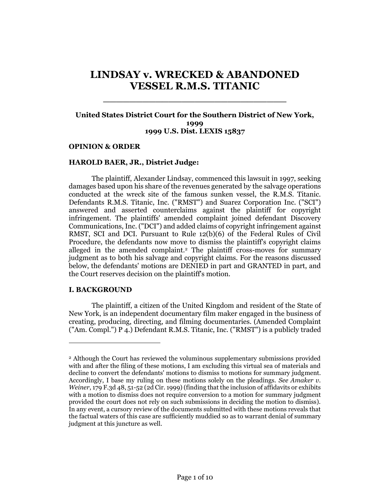# **LINDSAY v. WRECKED & ABANDONED VESSEL R.M.S. TITANIC**

\_\_\_\_\_\_\_\_\_\_\_\_\_\_\_\_\_\_\_\_\_\_\_\_\_\_\_\_

# **United States District Court for the Southern District of New York, 1999 1999 U.S. Dist. LEXIS 15837**

#### **OPINION & ORDER**

#### **HAROLD BAER, JR., District Judge:**

The plaintiff, Alexander Lindsay, commenced this lawsuit in 1997, seeking damages based upon his share of the revenues generated by the salvage operations conducted at the wreck site of the famous sunken vessel, the R.M.S. Titanic. Defendants R.M.S. Titanic, Inc. ("RMST") and Suarez Corporation Inc. ("SCI") answered and asserted counterclaims against the plaintiff for copyright infringement. The plaintiffs' amended complaint joined defendant Discovery Communications, Inc. ("DCI") and added claims of copyright infringement against RMST, SCI and DCI. Pursuant to Rule 12(b)(6) of the Federal Rules of Civil Procedure, the defendants now move to dismiss the plaintiff's copyright claims alleged in the amended complaint.<sup>2</sup> The plaintiff cross-moves for summary judgment as to both his salvage and copyright claims. For the reasons discussed below, the defendants' motions are DENIED in part and GRANTED in part, and the Court reserves decision on the plaintiff's motion.

#### **I. BACKGROUND**

 $\overline{a}$ 

The plaintiff, a citizen of the United Kingdom and resident of the State of New York, is an independent documentary film maker engaged in the business of creating, producing, directing, and filming documentaries. (Amended Complaint ("Am. Compl.") P 4.) Defendant R.M.S. Titanic, Inc. ("RMST") is a publicly traded

<sup>2</sup> Although the Court has reviewed the voluminous supplementary submissions provided with and after the filing of these motions, I am excluding this virtual sea of materials and decline to convert the defendants' motions to dismiss to motions for summary judgment. Accordingly, I base my ruling on these motions solely on the pleadings. *See Amaker v. Weiner*, 179 F.3d 48, 51-52 (2d Cir. 1999) (finding that the inclusion of affidavits or exhibits with a motion to dismiss does not require conversion to a motion for summary judgment provided the court does not rely on such submissions in deciding the motion to dismiss). In any event, a cursory review of the documents submitted with these motions reveals that the factual waters of this case are sufficiently muddied so as to warrant denial of summary judgment at this juncture as well.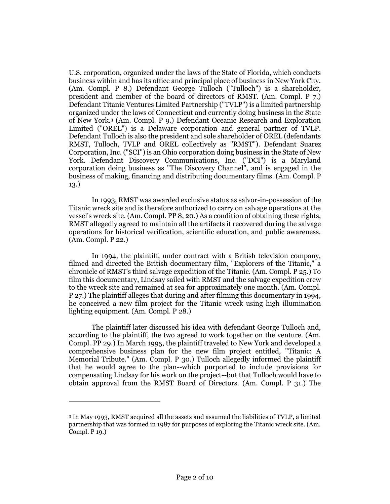U.S. corporation, organized under the laws of the State of Florida, which conducts business within and has its office and principal place of business in New York City. (Am. Compl. P 8.) Defendant George Tulloch ("Tulloch") is a shareholder, president and member of the board of directors of RMST. (Am. Compl. P 7.) Defendant Titanic Ventures Limited Partnership ("TVLP") is a limited partnership organized under the laws of Connecticut and currently doing business in the State of New York.<sup>3</sup> (Am. Compl. P 9.) Defendant Oceanic Research and Exploration Limited ("OREL") is a Delaware corporation and general partner of TVLP. Defendant Tulloch is also the president and sole shareholder of OREL (defendants RMST, Tulloch, TVLP and OREL collectively as "RMST"). Defendant Suarez Corporation, Inc. ("SCI") is an Ohio corporation doing business in the State of New York. Defendant Discovery Communications, Inc. ("DCI") is a Maryland corporation doing business as "The Discovery Channel", and is engaged in the business of making, financing and distributing documentary films. (Am. Compl. P 13.)

In 1993, RMST was awarded exclusive status as salvor-in-possession of the Titanic wreck site and is therefore authorized to carry on salvage operations at the vessel's wreck site. (Am. Compl. PP 8, 20.) As a condition of obtaining these rights, RMST allegedly agreed to maintain all the artifacts it recovered during the salvage operations for historical verification, scientific education, and public awareness. (Am. Compl. P 22.)

In 1994, the plaintiff, under contract with a British television company, filmed and directed the British documentary film, "Explorers of the Titanic," a chronicle of RMST's third salvage expedition of the Titanic. (Am. Compl. P 25.) To film this documentary, Lindsay sailed with RMST and the salvage expedition crew to the wreck site and remained at sea for approximately one month. (Am. Compl. P 27.) The plaintiff alleges that during and after filming this documentary in 1994, he conceived a new film project for the Titanic wreck using high illumination lighting equipment. (Am. Compl. P 28.)

The plaintiff later discussed his idea with defendant George Tulloch and, according to the plaintiff, the two agreed to work together on the venture. (Am. Compl. PP 29.) In March 1995, the plaintiff traveled to New York and developed a comprehensive business plan for the new film project entitled, "Titanic: A Memorial Tribute." (Am. Compl. P 30.) Tulloch allegedly informed the plaintiff that he would agree to the plan--which purported to include provisions for compensating Lindsay for his work on the project--but that Tulloch would have to obtain approval from the RMST Board of Directors. (Am. Compl. P 31.) The

 $\overline{a}$ 

<sup>3</sup> In May 1993, RMST acquired all the assets and assumed the liabilities of TVLP, a limited partnership that was formed in 1987 for purposes of exploring the Titanic wreck site. (Am. Compl. P 19.)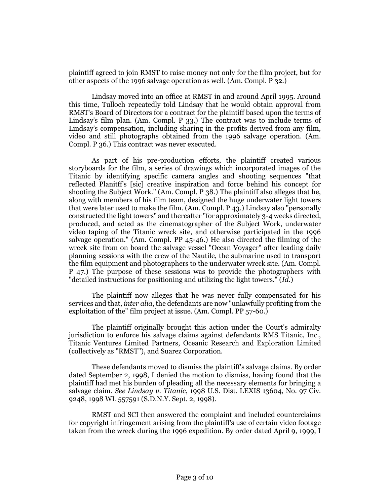plaintiff agreed to join RMST to raise money not only for the film project, but for other aspects of the 1996 salvage operation as well. (Am. Compl. P 32.)

Lindsay moved into an office at RMST in and around April 1995. Around this time, Tulloch repeatedly told Lindsay that he would obtain approval from RMST's Board of Directors for a contract for the plaintiff based upon the terms of Lindsay's film plan. (Am. Compl. P 33.) The contract was to include terms of Lindsay's compensation, including sharing in the profits derived from any film, video and still photographs obtained from the 1996 salvage operation. (Am. Compl. P 36.) This contract was never executed.

As part of his pre-production efforts, the plaintiff created various storyboards for the film, a series of drawings which incorporated images of the Titanic by identifying specific camera angles and shooting sequences "that reflected Planitff's [sic] creative inspiration and force behind his concept for shooting the Subject Work." (Am. Compl. P 38.) The plaintiff also alleges that he, along with members of his film team, designed the huge underwater light towers that were later used to make the film. (Am. Compl. P 43.) Lindsay also "personally constructed the light towers" and thereafter "for approximately 3-4 weeks directed, produced, and acted as the cinematographer of the Subject Work, underwater video taping of the Titanic wreck site, and otherwise participated in the 1996 salvage operation." (Am. Compl. PP 45-46.) He also directed the filming of the wreck site from on board the salvage vessel "Ocean Voyager" after leading daily planning sessions with the crew of the Nautile, the submarine used to transport the film equipment and photographers to the underwater wreck site. (Am. Compl. P 47.) The purpose of these sessions was to provide the photographers with "detailed instructions for positioning and utilizing the light towers." (*Id.*)

The plaintiff now alleges that he was never fully compensated for his services and that, *inter alia*, the defendants are now "unlawfully profiting from the exploitation of the" film project at issue. (Am. Compl. PP 57-60.)

The plaintiff originally brought this action under the Court's admiralty jurisdiction to enforce his salvage claims against defendants RMS Titanic, Inc., Titanic Ventures Limited Partners, Oceanic Research and Exploration Limited (collectively as "RMST"), and Suarez Corporation.

These defendants moved to dismiss the plaintiff's salvage claims. By order dated September 2, 1998, I denied the motion to dismiss, having found that the plaintiff had met his burden of pleading all the necessary elements for bringing a salvage claim. *See Lindsay v. Titanic*, 1998 U.S. Dist. LEXIS 13604, No. 97 Civ. 9248, 1998 WL 557591 (S.D.N.Y. Sept. 2, 1998).

RMST and SCI then answered the complaint and included counterclaims for copyright infringement arising from the plaintiff's use of certain video footage taken from the wreck during the 1996 expedition. By order dated April 9, 1999, I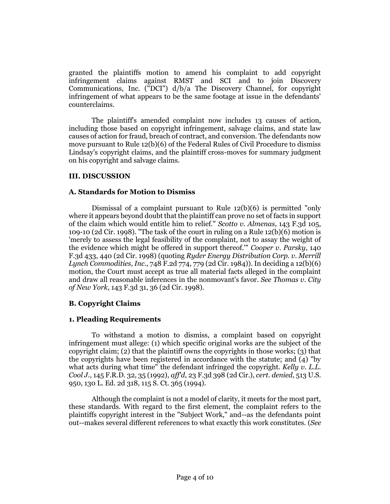granted the plaintiffs motion to amend his complaint to add copyright infringement claims against RMST and SCI and to join Discovery Communications, Inc. ("DCI") d/b/a The Discovery Channel, for copyright infringement of what appears to be the same footage at issue in the defendants' counterclaims.

The plaintiff's amended complaint now includes 13 causes of action, including those based on copyright infringement, salvage claims, and state law causes of action for fraud, breach of contract, and conversion. The defendants now move pursuant to Rule 12(b)(6) of the Federal Rules of Civil Procedure to dismiss Lindsay's copyright claims, and the plaintiff cross-moves for summary judgment on his copyright and salvage claims.

# **III. DISCUSSION**

# **A. Standards for Motion to Dismiss**

Dismissal of a complaint pursuant to Rule 12(b)(6) is permitted "only where it appears beyond doubt that the plaintiff can prove no set of facts in support of the claim which would entitle him to relief." *Scotto v. Almenas*, 143 F.3d 105, 109-10 (2d Cir. 1998). "The task of the court in ruling on a Rule 12(b)(6) motion is 'merely to assess the legal feasibility of the complaint, not to assay the weight of the evidence which might be offered in support thereof.'" *Cooper v. Parsky*, 140 F.3d 433, 440 (2d Cir. 1998) (quoting *Ryder Energy Distribution Corp. v. Merrill Lynch Commodities, Inc.*, 748 F.2d 774, 779 (2d Cir. 1984)). In deciding a 12(b)(6) motion, the Court must accept as true all material facts alleged in the complaint and draw all reasonable inferences in the nonmovant's favor. *See Thomas v. City of New York*, 143 F.3d 31, 36 (2d Cir. 1998).

# **B. Copyright Claims**

# **1. Pleading Requirements**

To withstand a motion to dismiss, a complaint based on copyright infringement must allege: (1) which specific original works are the subject of the copyright claim; (2) that the plaintiff owns the copyrights in those works; (3) that the copyrights have been registered in accordance with the statute; and (4) "by what acts during what time" the defendant infringed the copyright. *Kelly v. L.L. Cool J.*, 145 F.R.D. 32, 35 (1992), *aff'd*, 23 F.3d 398 (2d Cir.), *cert. denied*, 513 U.S. 950, 130 L. Ed. 2d 318, 115 S. Ct. 365 (1994).

Although the complaint is not a model of clarity, it meets for the most part, these standards. With regard to the first element, the complaint refers to the plaintiffs copyright interest in the "Subject Work," and--as the defendants point out--makes several different references to what exactly this work constitutes. (*See*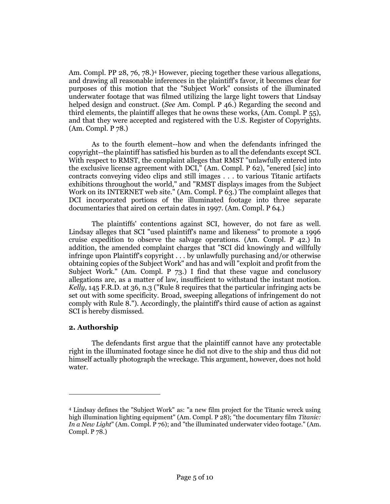Am. Compl. PP 28, 76, 78.)<sup>4</sup> However, piecing together these various allegations, and drawing all reasonable inferences in the plaintiff's favor, it becomes clear for purposes of this motion that the "Subject Work" consists of the illuminated underwater footage that was filmed utilizing the large light towers that Lindsay helped design and construct. (*See* Am. Compl. P 46.) Regarding the second and third elements, the plaintiff alleges that he owns these works, (Am. Compl. P 55), and that they were accepted and registered with the U.S. Register of Copyrights. (Am. Compl. P 78.)

As to the fourth element--how and when the defendants infringed the copyright--the plaintiff has satisfied his burden as to all the defendants except SCI. With respect to RMST, the complaint alleges that RMST "unlawfully entered into the exclusive license agreement with DCI," (Am. Compl. P 62), "enered [sic] into contracts conveying video clips and still images . . . to various Titanic artifacts exhibitions throughout the world," and "RMST displays images from the Subject Work on its INTERNET web site." (Am. Compl. P 63.) The complaint alleges that DCI incorporated portions of the illuminated footage into three separate documentaries that aired on certain dates in 1997. (Am. Compl. P 64.)

The plaintiffs' contentions against SCI, however, do not fare as well. Lindsay alleges that SCI "used plaintiff's name and likeness" to promote a 1996 cruise expedition to observe the salvage operations. (Am. Compl. P 42.) In addition, the amended complaint charges that "SCI did knowingly and willfully infringe upon Plaintiff's copyright . . . by unlawfully purchasing and/or otherwise obtaining copies of the Subject Work" and has and will "exploit and profit from the Subject Work." (Am. Compl. P 73.) I find that these vague and conclusory allegations are, as a matter of law, insufficient to withstand the instant motion. *Kelly*, 145 F.R.D. at 36, n.3 ("Rule 8 requires that the particular infringing acts be set out with some specificity. Broad, sweeping allegations of infringement do not comply with Rule 8."). Accordingly, the plaintiff's third cause of action as against SCI is hereby dismissed.

# **2. Authorship**

 $\overline{a}$ 

The defendants first argue that the plaintiff cannot have any protectable right in the illuminated footage since he did not dive to the ship and thus did not himself actually photograph the wreckage. This argument, however, does not hold water.

<sup>4</sup> Lindsay defines the "Subject Work" as: "a new film project for the Titanic wreck using high illumination lighting equipment" (Am. Compl. P 28); "the documentary film *Titanic: In a New Light*" (Am. Compl. P 76); and "the illuminated underwater video footage." (Am. Compl. P 78.)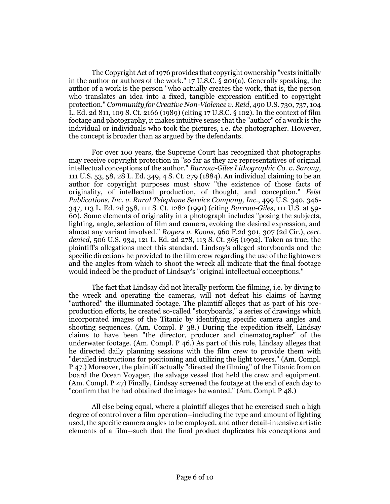The Copyright Act of 1976 provides that copyright ownership "vests initially in the author or authors of the work." 17 U.S.C. § 201(a). Generally speaking, the author of a work is the person "who actually creates the work, that is, the person who translates an idea into a fixed, tangible expression entitled to copyright protection." *Community for Creative Non-Violence v. Reid*, 490 U.S. 730, 737, 104 L. Ed. 2d 811, 109 S. Ct. 2166 (1989) (citing 17 U.S.C. § 102). In the context of film footage and photography, it makes intuitive sense that the "author" of a work is the individual or individuals who took the pictures, i.e. *the* photographer. However, the concept is broader than as argued by the defendants.

For over 100 years, the Supreme Court has recognized that photographs may receive copyright protection in "so far as they are representatives of original intellectual conceptions of the author." *Burrow-Giles Lithographic Co. v. Sarony*, 111 U.S. 53, 58, 28 L. Ed. 349, 4 S. Ct. 279 (1884). An individual claiming to be an author for copyright purposes must show "the existence of those facts of originality, of intellectual production, of thought, and conception." *Feist Publications, Inc. v. Rural Telephone Service Company, Inc.*, 499 U.S. 340, 346- 347, 113 L. Ed. 2d 358, 111 S. Ct. 1282 (1991) (citing *Burrow-Giles*, 111 U.S. at 59- 60). Some elements of originality in a photograph includes "posing the subjects, lighting, angle, selection of film and camera, evoking the desired expression, and almost any variant involved." *Rogers v. Koons*, 960 F.2d 301, 307 (2d Cir.), *cert. denied*, 506 U.S. 934, 121 L. Ed. 2d 278, 113 S. Ct. 365 (1992). Taken as true, the plaintiff's allegations meet this standard. Lindsay's alleged storyboards and the specific directions he provided to the film crew regarding the use of the lightowers and the angles from which to shoot the wreck all indicate that the final footage would indeed be the product of Lindsay's "original intellectual conceptions."

The fact that Lindsay did not literally perform the filming, i.e. by diving to the wreck and operating the cameras, will not defeat his claims of having "authored" the illuminated footage. The plaintiff alleges that as part of his preproduction efforts, he created so-called "storyboards," a series of drawings which incorporated images of the Titanic by identifying specific camera angles and shooting sequences. (Am. Compl. P 38.) During the expedition itself, Lindsay claims to have been "the director, producer and cinematographer" of the underwater footage. (Am. Compl. P 46.) As part of this role, Lindsay alleges that he directed daily planning sessions with the film crew to provide them with "detailed instructions for positioning and utilizing the light towers." (Am. Compl. P 47.) Moreover, the plaintiff actually "directed the filming" of the Titanic from on board the Ocean Voyager, the salvage vessel that held the crew and equipment. (Am. Compl. P 47) Finally, Lindsay screened the footage at the end of each day to "confirm that he had obtained the images he wanted." (Am. Compl. P 48.)

All else being equal, where a plaintiff alleges that he exercised such a high degree of control over a film operation--including the type and amount of lighting used, the specific camera angles to be employed, and other detail-intensive artistic elements of a film--such that the final product duplicates his conceptions and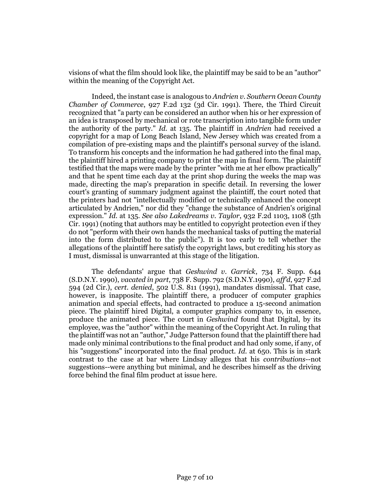visions of what the film should look like, the plaintiff may be said to be an "author" within the meaning of the Copyright Act.

Indeed, the instant case is analogous to *Andrien v. Southern Ocean County Chamber of Commerce*, 927 F.2d 132 (3d Cir. 1991). There, the Third Circuit recognized that "a party can be considered an author when his or her expression of an idea is transposed by mechanical or rote transcription into tangible form under the authority of the party." *Id.* at 135. The plaintiff in *Andrien* had received a copyright for a map of Long Beach Island, New Jersey which was created from a compilation of pre-existing maps and the plaintiff's personal survey of the island. To transform his concepts and the information he had gathered into the final map, the plaintiff hired a printing company to print the map in final form. The plaintiff testified that the maps were made by the printer "with me at her elbow practically" and that he spent time each day at the print shop during the weeks the map was made, directing the map's preparation in specific detail. In reversing the lower court's granting of summary judgment against the plaintiff, the court noted that the printers had not "intellectually modified or technically enhanced the concept articulated by Andrien," nor did they "change the substance of Andrien's original expression." *Id.* at 135. *See also Lakedreams v. Taylor*, 932 F.2d 1103, 1108 (5th Cir. 1991) (noting that authors may be entitled to copyright protection even if they do not "perform with their own hands the mechanical tasks of putting the material into the form distributed to the public"). It is too early to tell whether the allegations of the plaintiff here satisfy the copyright laws, but crediting his story as I must, dismissal is unwarranted at this stage of the litigation.

The defendants' argue that *Geshwind v. Garrick*, 734 F. Supp. 644 (S.D.N.Y. 1990), *vacated in part*, 738 F. Supp. 792 (S.D.N.Y.1990), *aff'd*, 927 F.2d 594 (2d Cir.), *cert. denied*, 502 U.S. 811 (1991), mandates dismissal. That case, however, is inapposite. The plaintiff there, a producer of computer graphics animation and special effects, had contracted to produce a 15-second animation piece. The plaintiff hired Digital, a computer graphics company to, in essence, produce the animated piece. The court in *Geshwind* found that Digital, by its employee, was the "author" within the meaning of the Copyright Act. In ruling that the plaintiff was not an "author," Judge Patterson found that the plaintiff there had made only minimal contributions to the final product and had only some, if any, of his "suggestions" incorporated into the final product. *Id.* at 650. This is in stark contrast to the case at bar where Lindsay alleges that his *contributions*--not suggestions--were anything but minimal, and he describes himself as the driving force behind the final film product at issue here.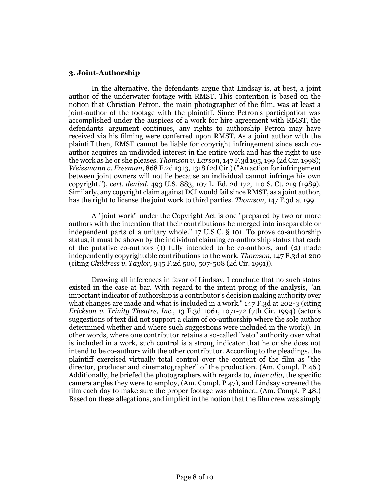#### **3. Joint-Authorship**

In the alternative, the defendants argue that Lindsay is, at best, a joint author of the underwater footage with RMST. This contention is based on the notion that Christian Petron, the main photographer of the film, was at least a joint-author of the footage with the plaintiff. Since Petron's participation was accomplished under the auspices of a work for hire agreement with RMST, the defendants' argument continues, any rights to authorship Petron may have received via his filming were conferred upon RMST. As a joint author with the plaintiff then, RMST cannot be liable for copyright infringement since each coauthor acquires an undivided interest in the entire work and has the right to use the work as he or she pleases. *Thomson v. Larson*, 147 F.3d 195, 199 (2d Cir. 1998); *Weissmann v. Freeman*, 868 F.2d 1313, 1318 (2d Cir.) ("An action for infringement between joint owners will not lie because an individual cannot infringe his own copyright."), *cert. denied*, 493 U.S. 883, 107 L. Ed. 2d 172, 110 S. Ct. 219 (1989). Similarly, any copyright claim against DCI would fail since RMST, as a joint author, has the right to license the joint work to third parties. *Thomson*, 147 F.3d at 199.

A "joint work" under the Copyright Act is one "prepared by two or more authors with the intention that their contributions be merged into inseparable or independent parts of a unitary whole." 17 U.S.C. § 101. To prove co-authorship status, it must be shown by the individual claiming co-authorship status that each of the putative co-authors (1) fully intended to be co-authors, and (2) made independently copyrightable contributions to the work. *Thomson*, 147 F.3d at 200 (citing *Childress v. Taylor*, 945 F.2d 500, 507-508 (2d Cir. 1991)).

Drawing all inferences in favor of Lindsay, I conclude that no such status existed in the case at bar. With regard to the intent prong of the analysis, "an important indicator of authorship is a contributor's decision making authority over what changes are made and what is included in a work." 147 F.3d at 202-3 (citing *Erickson v. Trinity Theatre, Inc.*, 13 F.3d 1061, 1071-72 (7th Cir. 1994) (actor's suggestions of text did not support a claim of co-authorship where the sole author determined whether and where such suggestions were included in the work)). In other words, where one contributor retains a so-called "veto" authority over what is included in a work, such control is a strong indicator that he or she does not intend to be co-authors with the other contributor. According to the pleadings, the plaintiff exercised virtually total control over the content of the film as "the director, producer and cinematographer" of the production. (Am. Compl. P 46.) Additionally, he briefed the photographers with regards to, *inter alia*, the specific camera angles they were to employ, (Am. Compl. P 47), and Lindsay screened the film each day to make sure the proper footage was obtained. (Am. Compl. P 48.) Based on these allegations, and implicit in the notion that the film crew was simply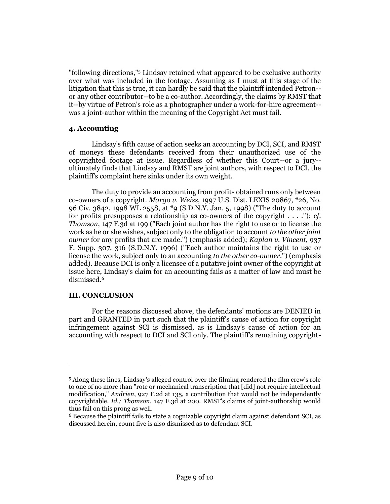"following directions,"<sup>5</sup> Lindsay retained what appeared to be exclusive authority over what was included in the footage. Assuming as I must at this stage of the litigation that this is true, it can hardly be said that the plaintiff intended Petron- or any other contributor--to be a co-author. Accordingly, the claims by RMST that it--by virtue of Petron's role as a photographer under a work-for-hire agreement- was a joint-author within the meaning of the Copyright Act must fail.

# **4. Accounting**

Lindsay's fifth cause of action seeks an accounting by DCI, SCI, and RMST of moneys these defendants received from their unauthorized use of the copyrighted footage at issue. Regardless of whether this Court--or a jury- ultimately finds that Lindsay and RMST are joint authors, with respect to DCI, the plaintiff's complaint here sinks under its own weight.

The duty to provide an accounting from profits obtained runs only between co-owners of a copyright. *Margo v. Weiss*, 1997 U.S. Dist. LEXIS 20867, \*26, No. 96 Civ. 3842, 1998 WL 2558, at \*9 (S.D.N.Y. Jan. 5, 1998) ("The duty to account for profits presupposes a relationship as co-owners of the copyright . . . ."); *cf. Thomson*, 147 F.3d at 199 ("Each joint author has the right to use or to license the work as he or she wishes, subject only to the obligation to account *to the other joint owner* for any profits that are made.") (emphasis added); *Kaplan v. Vincent*, 937 F. Supp. 307, 316 (S.D.N.Y. 1996) ("Each author maintains the right to use or license the work, subject only to an accounting *to the other co-owner*.") (emphasis added). Because DCI is only a licensee of a putative joint owner of the copyright at issue here, Lindsay's claim for an accounting fails as a matter of law and must be dismissed.<sup>6</sup>

# **III. CONCLUSION**

 $\overline{a}$ 

For the reasons discussed above, the defendants' motions are DENIED in part and GRANTED in part such that the plaintiff's cause of action for copyright infringement against SCI is dismissed, as is Lindsay's cause of action for an accounting with respect to DCI and SCI only. The plaintiff's remaining copyright-

<sup>5</sup> Along these lines, Lindsay's alleged control over the filming rendered the film crew's role to one of no more than "rote or mechanical transcription that [did] not require intellectual modification," *Andrien*, 927 F.2d at 135, a contribution that would not be independently copyrightable. *Id.; Thomson*, 147 F.3d at 200. RMST's claims of joint-authorship would thus fail on this prong as well.

<sup>6</sup> Because the plaintiff fails to state a cognizable copyright claim against defendant SCI, as discussed herein, count five is also dismissed as to defendant SCI.